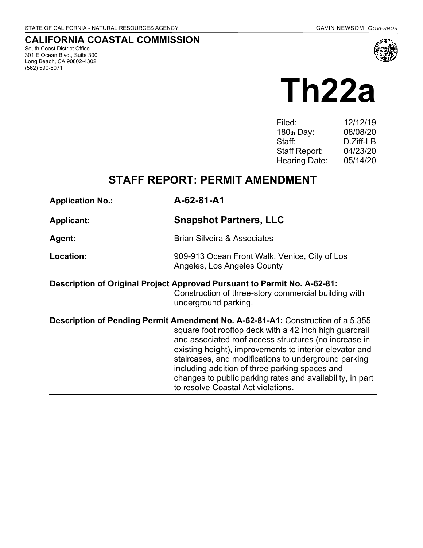## **CALIFORNIA COASTAL COMMISSION**

South Coast District Office 301 E Ocean Blvd., Suite 300 Long Beach, CA 90802-4302 (562) 590-5071



# **Th22a**

| 12/12/19  |
|-----------|
| 08/08/20  |
| D.Ziff-LB |
| 04/23/20  |
| 05/14/20  |
|           |

# **STAFF REPORT: PERMIT AMENDMENT**

| <b>Application No.:</b> | A-62-81-A1                                                                                                                                                                                                                                                                                                                                                                                                                                                                 |
|-------------------------|----------------------------------------------------------------------------------------------------------------------------------------------------------------------------------------------------------------------------------------------------------------------------------------------------------------------------------------------------------------------------------------------------------------------------------------------------------------------------|
| <b>Applicant:</b>       | <b>Snapshot Partners, LLC</b>                                                                                                                                                                                                                                                                                                                                                                                                                                              |
| Agent:                  | <b>Brian Silveira &amp; Associates</b>                                                                                                                                                                                                                                                                                                                                                                                                                                     |
| Location:               | 909-913 Ocean Front Walk, Venice, City of Los<br>Angeles, Los Angeles County                                                                                                                                                                                                                                                                                                                                                                                               |
|                         | Description of Original Project Approved Pursuant to Permit No. A-62-81:<br>Construction of three-story commercial building with<br>underground parking.                                                                                                                                                                                                                                                                                                                   |
|                         | Description of Pending Permit Amendment No. A-62-81-A1: Construction of a 5,355<br>square foot rooftop deck with a 42 inch high guardrail<br>and associated roof access structures (no increase in<br>existing height), improvements to interior elevator and<br>staircases, and modifications to underground parking<br>including addition of three parking spaces and<br>changes to public parking rates and availability, in part<br>to resolve Coastal Act violations. |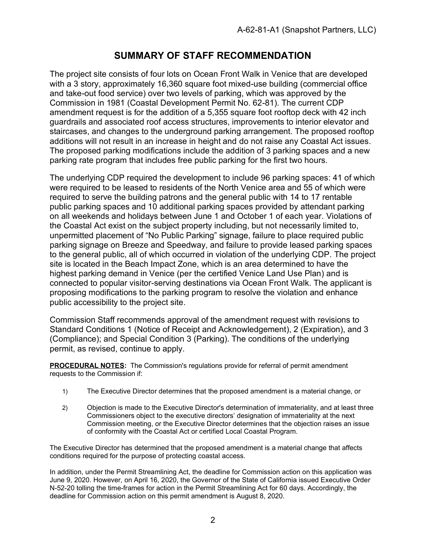## **SUMMARY OF STAFF RECOMMENDATION**

The project site consists of four lots on Ocean Front Walk in Venice that are developed with a 3 story, approximately 16,360 square foot mixed-use building (commercial office and take-out food service) over two levels of parking, which was approved by the Commission in 1981 (Coastal Development Permit No. 62-81). The current CDP amendment request is for the addition of a 5,355 square foot rooftop deck with 42 inch guardrails and associated roof access structures, improvements to interior elevator and staircases, and changes to the underground parking arrangement. The proposed rooftop additions will not result in an increase in height and do not raise any Coastal Act issues. The proposed parking modifications include the addition of 3 parking spaces and a new parking rate program that includes free public parking for the first two hours.

The underlying CDP required the development to include 96 parking spaces: 41 of which were required to be leased to residents of the North Venice area and 55 of which were required to serve the building patrons and the general public with 14 to 17 rentable public parking spaces and 10 additional parking spaces provided by attendant parking on all weekends and holidays between June 1 and October 1 of each year. Violations of the Coastal Act exist on the subject property including, but not necessarily limited to, unpermitted placement of "No Public Parking" signage, failure to place required public parking signage on Breeze and Speedway, and failure to provide leased parking spaces to the general public, all of which occurred in violation of the underlying CDP. The project site is located in the Beach Impact Zone, which is an area determined to have the highest parking demand in Venice (per the certified Venice Land Use Plan) and is connected to popular visitor-serving destinations via Ocean Front Walk. The applicant is proposing modifications to the parking program to resolve the violation and enhance public accessibility to the project site.

Commission Staff recommends approval of the amendment request with revisions to Standard Conditions 1 (Notice of Receipt and Acknowledgement), 2 (Expiration), and 3 (Compliance); and Special Condition 3 (Parking). The conditions of the underlying permit, as revised, continue to apply.

**PROCEDURAL NOTES:** The Commission's regulations provide for referral of permit amendment requests to the Commission if:

- 1) The Executive Director determines that the proposed amendment is a material change, or
- 2) Objection is made to the Executive Director's determination of immateriality, and at least three Commissioners object to the executive directors' designation of immateriality at the next Commission meeting, or the Executive Director determines that the objection raises an issue of conformity with the Coastal Act or certified Local Coastal Program.

The Executive Director has determined that the proposed amendment is a material change that affects conditions required for the purpose of protecting coastal access.

In addition, under the Permit Streamlining Act, the deadline for Commission action on this application was June 9, 2020. However, on April 16, 2020, the Governor of the State of California issued Executive Order N-52-20 tolling the time-frames for action in the Permit Streamlining Act for 60 days. Accordingly, the deadline for Commission action on this permit amendment is August 8, 2020.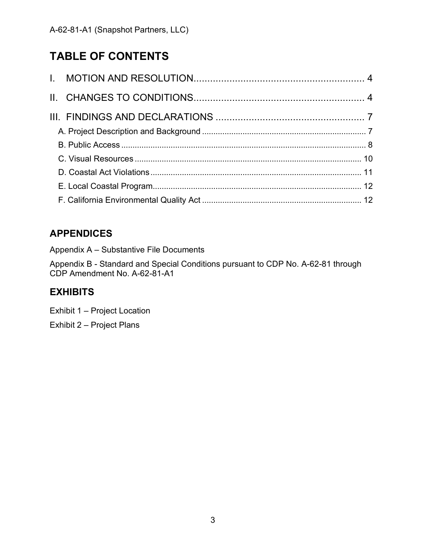# **TABLE OF CONTENTS**

# **APPENDICES**

Appendix A – Substantive File Documents

Appendix B - Standard and Special Conditions pursuant to CDP No. A-62-81 through CDP Amendment No. A-62-81-A1

## **EXHIBITS**

[Exhibit 1 –](https://documents.coastal.ca.gov/reports/2020/5/Th22a/Th22a-5-2020-exhibits.pdf) Project Location

Exhibit 2 – [Project Plans](https://documents.coastal.ca.gov/reports/2020/5/Th22a/Th22a-5-2020-exhibits.pdf)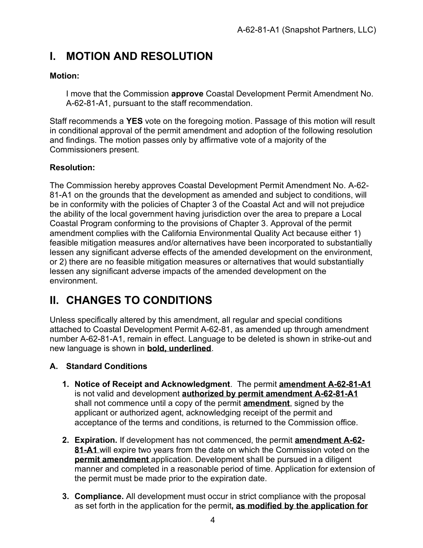# <span id="page-3-0"></span>**I. MOTION AND RESOLUTION**

### **Motion:**

I move that the Commission **approve** Coastal Development Permit Amendment No. A-62-81-A1, pursuant to the staff recommendation.

Staff recommends a **YES** vote on the foregoing motion. Passage of this motion will result in conditional approval of the permit amendment and adoption of the following resolution and findings. The motion passes only by affirmative vote of a majority of the Commissioners present.

## **Resolution:**

The Commission hereby approves Coastal Development Permit Amendment No. A-62- 81-A1 on the grounds that the development as amended and subject to conditions, will be in conformity with the policies of Chapter 3 of the Coastal Act and will not prejudice the ability of the local government having jurisdiction over the area to prepare a Local Coastal Program conforming to the provisions of Chapter 3. Approval of the permit amendment complies with the California Environmental Quality Act because either 1) feasible mitigation measures and/or alternatives have been incorporated to substantially lessen any significant adverse effects of the amended development on the environment, or 2) there are no feasible mitigation measures or alternatives that would substantially lessen any significant adverse impacts of the amended development on the environment.

# <span id="page-3-1"></span>**II. CHANGES TO CONDITIONS**

Unless specifically altered by this amendment, all regular and special conditions attached to Coastal Development Permit A-62-81, as amended up through amendment number A-62-81-A1, remain in effect. Language to be deleted is shown in strike-out and new language is shown in **bold, underlined**.

#### **A. Standard Conditions**

- **1. Notice of Receipt and Acknowledgment**. The permit **amendment A-62-81-A1** is not valid and development **authorized by permit amendment A-62-81-A1** shall not commence until a copy of the permit **amendment**, signed by the applicant or authorized agent, acknowledging receipt of the permit and acceptance of the terms and conditions, is returned to the Commission office.
- **2. Expiration.** If development has not commenced, the permit **amendment A-62- 81-A1** will expire two years from the date on which the Commission voted on the **permit amendment** application. Development shall be pursued in a diligent manner and completed in a reasonable period of time. Application for extension of the permit must be made prior to the expiration date.
- **3. Compliance.** All development must occur in strict compliance with the proposal as set forth in the application for the permit**, as modified by the application for**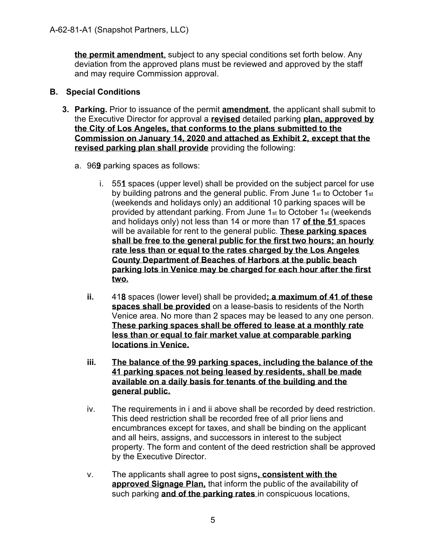**the permit amendment**, subject to any special conditions set forth below. Any deviation from the approved plans must be reviewed and approved by the staff and may require Commission approval.

#### **B. Special Conditions**

- **3. Parking.** Prior to issuance of the permit **amendment**, the applicant shall submit to the Executive Director for approval a **revised** detailed parking **plan, approved by the City of Los Angeles, that conforms to the plans submitted to the Commission on January 14, 2020 and attached as Exhibit 2, except that the revised parking plan shall provide** providing the following:
	- a. 96**9** parking spaces as follows:
		- i. 55**1** spaces (upper level) shall be provided on the subject parcel for use by building patrons and the general public. From June 1st to October 1st (weekends and holidays only) an additional 10 parking spaces will be provided by attendant parking. From June 1st to October 1st (weekends and holidays only) not less than 14 or more than 17 **of the 51** spaces will be available for rent to the general public. **These parking spaces shall be free to the general public for the first two hours; an hourly rate less than or equal to the rates charged by the Los Angeles County Department of Beaches of Harbors at the public beach parking lots in Venice may be charged for each hour after the first two.**
		- **ii.** 41**8** spaces (lower level) shall be provided**; a maximum of 41 of these spaces shall be provided** on a lease-basis to residents of the North Venice area. No more than 2 spaces may be leased to any one person. **These parking spaces shall be offered to lease at a monthly rate less than or equal to fair market value at comparable parking locations in Venice.**
		- **iii. The balance of the 99 parking spaces, including the balance of the 41 parking spaces not being leased by residents, shall be made available on a daily basis for tenants of the building and the general public.**
		- iv. The requirements in i and ii above shall be recorded by deed restriction. This deed restriction shall be recorded free of all prior liens and encumbrances except for taxes, and shall be binding on the applicant and all heirs, assigns, and successors in interest to the subject property. The form and content of the deed restriction shall be approved by the Executive Director.
		- v. The applicants shall agree to post signs**, consistent with the approved Signage Plan,** that inform the public of the availability of such parking **and of the parking rates** in conspicuous locations,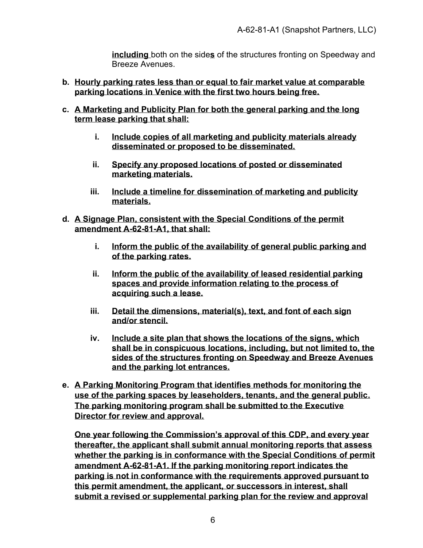**including** both on the side**s** of the structures fronting on Speedway and Breeze Avenues.

- **b. Hourly parking rates less than or equal to fair market value at comparable parking locations in Venice with the first two hours being free.**
- **c. A Marketing and Publicity Plan for both the general parking and the long term lease parking that shall:**
	- **i. Include copies of all marketing and publicity materials already disseminated or proposed to be disseminated.**
	- **ii. Specify any proposed locations of posted or disseminated marketing materials.**
	- **iii. Include a timeline for dissemination of marketing and publicity materials.**
- **d. A Signage Plan, consistent with the Special Conditions of the permit amendment A-62-81-A1, that shall:**
	- **i. Inform the public of the availability of general public parking and of the parking rates.**
	- **ii. Inform the public of the availability of leased residential parking spaces and provide information relating to the process of acquiring such a lease.**
	- **iii. Detail the dimensions, material(s), text, and font of each sign and/or stencil.**
	- **iv. Include a site plan that shows the locations of the signs, which shall be in conspicuous locations, including, but not limited to, the sides of the structures fronting on Speedway and Breeze Avenues and the parking lot entrances.**
- **e. A Parking Monitoring Program that identifies methods for monitoring the use of the parking spaces by leaseholders, tenants, and the general public. The parking monitoring program shall be submitted to the Executive Director for review and approval.**

**One year following the Commission's approval of this CDP, and every year thereafter, the applicant shall submit annual monitoring reports that assess whether the parking is in conformance with the Special Conditions of permit amendment A-62-81-A1. If the parking monitoring report indicates the parking is not in conformance with the requirements approved pursuant to this permit amendment, the applicant, or successors in interest, shall submit a revised or supplemental parking plan for the review and approval**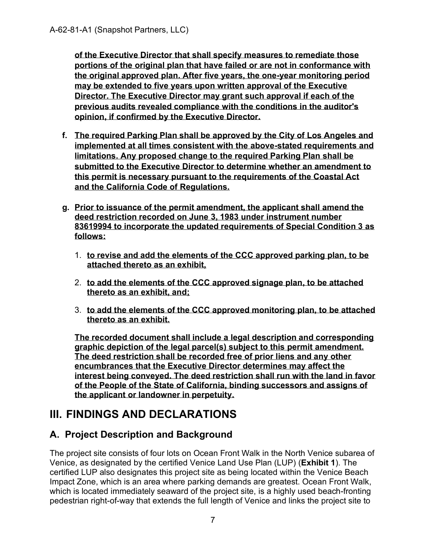**of the Executive Director that shall specify measures to remediate those portions of the original plan that have failed or are not in conformance with the original approved plan. After five years, the one-year monitoring period may be extended to five years upon written approval of the Executive Director. The Executive Director may grant such approval if each of the previous audits revealed compliance with the conditions in the auditor's opinion, if confirmed by the Executive Director.**

- **f. The required Parking Plan shall be approved by the City of Los Angeles and implemented at all times consistent with the above-stated requirements and limitations. Any proposed change to the required Parking Plan shall be submitted to the Executive Director to determine whether an amendment to this permit is necessary pursuant to the requirements of the Coastal Act and the California Code of Regulations.**
- **g. Prior to issuance of the permit amendment, the applicant shall amend the deed restriction recorded on June 3, 1983 under instrument number 83619994 to incorporate the updated requirements of Special Condition 3 as follows:**
	- 1. **to revise and add the elements of the CCC approved parking plan, to be attached thereto as an exhibit,**
	- 2. **to add the elements of the CCC approved signage plan, to be attached thereto as an exhibit, and;**
	- 3. **to add the elements of the CCC approved monitoring plan, to be attached thereto as an exhibit.**

**The recorded document shall include a legal description and corresponding graphic depiction of the legal parcel(s) subject to this permit amendment. The deed restriction shall be recorded free of prior liens and any other encumbrances that the Executive Director determines may affect the interest being conveyed. The deed restriction shall run with the land in favor of the People of the State of California, binding successors and assigns of the applicant or landowner in perpetuity.**

# <span id="page-6-0"></span>**III. FINDINGS AND DECLARATIONS**

## <span id="page-6-1"></span>**A. Project Description and Background**

The project site consists of four lots on Ocean Front Walk in the North Venice subarea of Venice, as designated by the certified Venice Land Use Plan (LUP) (**[Exhibit 1](https://documents.coastal.ca.gov/reports/2020/5/Th22a/Th22a-5-2020-exhibits.pdf)**). The certified LUP also designates this project site as being located within the Venice Beach Impact Zone, which is an area where parking demands are greatest. Ocean Front Walk, which is located immediately seaward of the project site, is a highly used beach-fronting pedestrian right-of-way that extends the full length of Venice and links the project site to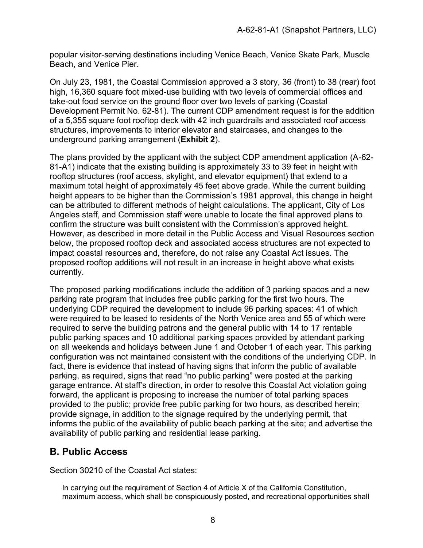popular visitor-serving destinations including Venice Beach, Venice Skate Park, Muscle Beach, and Venice Pier.

On July 23, 1981, the Coastal Commission approved a 3 story, 36 (front) to 38 (rear) foot high, 16,360 square foot mixed-use building with two levels of commercial offices and take-out food service on the ground floor over two levels of parking (Coastal Development Permit No. 62-81). The current CDP amendment request is for the addition of a 5,355 square foot rooftop deck with 42 inch guardrails and associated roof access structures, improvements to interior elevator and staircases, and changes to the underground parking arrangement (**[Exhibit 2](https://documents.coastal.ca.gov/reports/2020/5/Th22a/Th22a-5-2020-exhibits.pdf)**).

The plans provided by the applicant with the subject CDP amendment application (A-62- 81-A1) indicate that the existing building is approximately 33 to 39 feet in height with rooftop structures (roof access, skylight, and elevator equipment) that extend to a maximum total height of approximately 45 feet above grade. While the current building height appears to be higher than the Commission's 1981 approval, this change in height can be attributed to different methods of height calculations. The applicant, City of Los Angeles staff, and Commission staff were unable to locate the final approved plans to confirm the structure was built consistent with the Commission's approved height. However, as described in more detail in the Public Access and Visual Resources section below, the proposed rooftop deck and associated access structures are not expected to impact coastal resources and, therefore, do not raise any Coastal Act issues. The proposed rooftop additions will not result in an increase in height above what exists currently.

The proposed parking modifications include the addition of 3 parking spaces and a new parking rate program that includes free public parking for the first two hours. The underlying CDP required the development to include 96 parking spaces: 41 of which were required to be leased to residents of the North Venice area and 55 of which were required to serve the building patrons and the general public with 14 to 17 rentable public parking spaces and 10 additional parking spaces provided by attendant parking on all weekends and holidays between June 1 and October 1 of each year. This parking configuration was not maintained consistent with the conditions of the underlying CDP. In fact, there is evidence that instead of having signs that inform the public of available parking, as required, signs that read "no public parking" were posted at the parking garage entrance. At staff's direction, in order to resolve this Coastal Act violation going forward, the applicant is proposing to increase the number of total parking spaces provided to the public; provide free public parking for two hours, as described herein; provide signage, in addition to the signage required by the underlying permit, that informs the public of the availability of public beach parking at the site; and advertise the availability of public parking and residential lease parking.

## <span id="page-7-0"></span>**B. Public Access**

Section 30210 of the Coastal Act states:

In carrying out the requirement of Section 4 of Article X of the California Constitution, maximum access, which shall be conspicuously posted, and recreational opportunities shall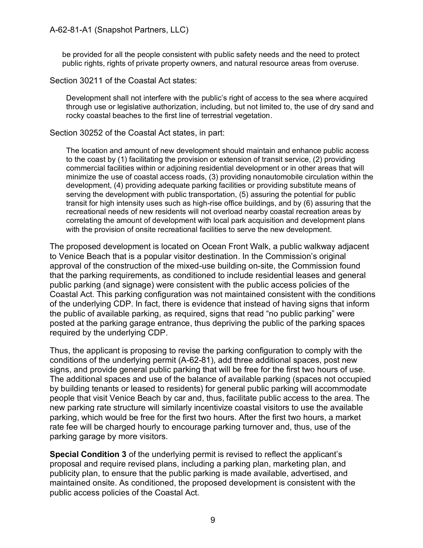be provided for all the people consistent with public safety needs and the need to protect public rights, rights of private property owners, and natural resource areas from overuse.

Section 30211 of the Coastal Act states:

Development shall not interfere with the public's right of access to the sea where acquired through use or legislative authorization, including, but not limited to, the use of dry sand and rocky coastal beaches to the first line of terrestrial vegetation.

Section 30252 of the Coastal Act states, in part:

The location and amount of new development should maintain and enhance public access to the coast by (1) facilitating the provision or extension of transit service, (2) providing commercial facilities within or adjoining residential development or in other areas that will minimize the use of coastal access roads, (3) providing nonautomobile circulation within the development, (4) providing adequate parking facilities or providing substitute means of serving the development with public transportation, (5) assuring the potential for public transit for high intensity uses such as high-rise office buildings, and by (6) assuring that the recreational needs of new residents will not overload nearby coastal recreation areas by correlating the amount of development with local park acquisition and development plans with the provision of onsite recreational facilities to serve the new development.

The proposed development is located on Ocean Front Walk, a public walkway adjacent to Venice Beach that is a popular visitor destination. In the Commission's original approval of the construction of the mixed-use building on-site, the Commission found that the parking requirements, as conditioned to include residential leases and general public parking (and signage) were consistent with the public access policies of the Coastal Act. This parking configuration was not maintained consistent with the conditions of the underlying CDP. In fact, there is evidence that instead of having signs that inform the public of available parking, as required, signs that read "no public parking" were posted at the parking garage entrance, thus depriving the public of the parking spaces required by the underlying CDP.

Thus, the applicant is proposing to revise the parking configuration to comply with the conditions of the underlying permit (A-62-81), add three additional spaces, post new signs, and provide general public parking that will be free for the first two hours of use. The additional spaces and use of the balance of available parking (spaces not occupied by building tenants or leased to residents) for general public parking will accommodate people that visit Venice Beach by car and, thus, facilitate public access to the area. The new parking rate structure will similarly incentivize coastal visitors to use the available parking, which would be free for the first two hours. After the first two hours, a market rate fee will be charged hourly to encourage parking turnover and, thus, use of the parking garage by more visitors.

**Special Condition 3** of the underlying permit is revised to reflect the applicant's proposal and require revised plans, including a parking plan, marketing plan, and publicity plan, to ensure that the public parking is made available, advertised, and maintained onsite. As conditioned, the proposed development is consistent with the public access policies of the Coastal Act.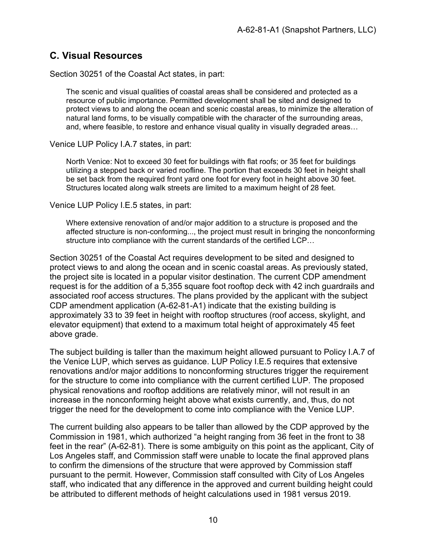## <span id="page-9-0"></span>**C. Visual Resources**

Section 30251 of the Coastal Act states, in part:

The scenic and visual qualities of coastal areas shall be considered and protected as a resource of public importance. Permitted development shall be sited and designed to protect views to and along the ocean and scenic coastal areas, to minimize the alteration of natural land forms, to be visually compatible with the character of the surrounding areas, and, where feasible, to restore and enhance visual quality in visually degraded areas…

#### Venice LUP Policy I.A.7 states, in part:

North Venice: Not to exceed 30 feet for buildings with flat roofs; or 35 feet for buildings utilizing a stepped back or varied roofline. The portion that exceeds 30 feet in height shall be set back from the required front yard one foot for every foot in height above 30 feet. Structures located along walk streets are limited to a maximum height of 28 feet.

#### Venice LUP Policy I.E.5 states, in part:

Where extensive renovation of and/or major addition to a structure is proposed and the affected structure is non-conforming..., the project must result in bringing the nonconforming structure into compliance with the current standards of the certified LCP…

Section 30251 of the Coastal Act requires development to be sited and designed to protect views to and along the ocean and in scenic coastal areas. As previously stated, the project site is located in a popular visitor destination. The current CDP amendment request is for the addition of a 5,355 square foot rooftop deck with 42 inch guardrails and associated roof access structures. The plans provided by the applicant with the subject CDP amendment application (A-62-81-A1) indicate that the existing building is approximately 33 to 39 feet in height with rooftop structures (roof access, skylight, and elevator equipment) that extend to a maximum total height of approximately 45 feet above grade.

The subject building is taller than the maximum height allowed pursuant to Policy I.A.7 of the Venice LUP, which serves as guidance. LUP Policy I.E.5 requires that extensive renovations and/or major additions to nonconforming structures trigger the requirement for the structure to come into compliance with the current certified LUP. The proposed physical renovations and rooftop additions are relatively minor, will not result in an increase in the nonconforming height above what exists currently, and, thus, do not trigger the need for the development to come into compliance with the Venice LUP.

The current building also appears to be taller than allowed by the CDP approved by the Commission in 1981, which authorized "a height ranging from 36 feet in the front to 38 feet in the rear" (A-62-81). There is some ambiguity on this point as the applicant, City of Los Angeles staff, and Commission staff were unable to locate the final approved plans to confirm the dimensions of the structure that were approved by Commission staff pursuant to the permit. However, Commission staff consulted with City of Los Angeles staff, who indicated that any difference in the approved and current building height could be attributed to different methods of height calculations used in 1981 versus 2019.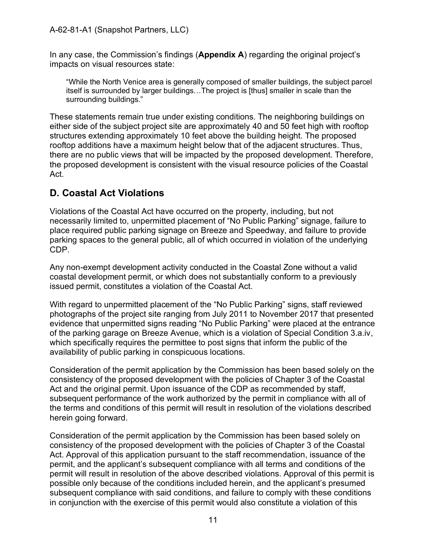In any case, the Commission's findings (**Appendix A**) regarding the original project's impacts on visual resources state:

"While the North Venice area is generally composed of smaller buildings, the subject parcel itself is surrounded by larger buildings…The project is [thus] smaller in scale than the surrounding buildings."

These statements remain true under existing conditions. The neighboring buildings on either side of the subject project site are approximately 40 and 50 feet high with rooftop structures extending approximately 10 feet above the building height. The proposed rooftop additions have a maximum height below that of the adjacent structures. Thus, there are no public views that will be impacted by the proposed development. Therefore, the proposed development is consistent with the visual resource policies of the Coastal Act.

## <span id="page-10-0"></span>**D. Coastal Act Violations**

Violations of the Coastal Act have occurred on the property, including, but not necessarily limited to, unpermitted placement of "No Public Parking" signage, failure to place required public parking signage on Breeze and Speedway, and failure to provide parking spaces to the general public, all of which occurred in violation of the underlying CDP.

Any non-exempt development activity conducted in the Coastal Zone without a valid coastal development permit, or which does not substantially conform to a previously issued permit, constitutes a violation of the Coastal Act.

With regard to unpermitted placement of the "No Public Parking" signs, staff reviewed photographs of the project site ranging from July 2011 to November 2017 that presented evidence that unpermitted signs reading "No Public Parking" were placed at the entrance of the parking garage on Breeze Avenue, which is a violation of Special Condition 3.a.iv, which specifically requires the permittee to post signs that inform the public of the availability of public parking in conspicuous locations.

Consideration of the permit application by the Commission has been based solely on the consistency of the proposed development with the policies of Chapter 3 of the Coastal Act and the original permit. Upon issuance of the CDP as recommended by staff, subsequent performance of the work authorized by the permit in compliance with all of the terms and conditions of this permit will result in resolution of the violations described herein going forward.

Consideration of the permit application by the Commission has been based solely on consistency of the proposed development with the policies of Chapter 3 of the Coastal Act. Approval of this application pursuant to the staff recommendation, issuance of the permit, and the applicant's subsequent compliance with all terms and conditions of the permit will result in resolution of the above described violations. Approval of this permit is possible only because of the conditions included herein, and the applicant's presumed subsequent compliance with said conditions, and failure to comply with these conditions in conjunction with the exercise of this permit would also constitute a violation of this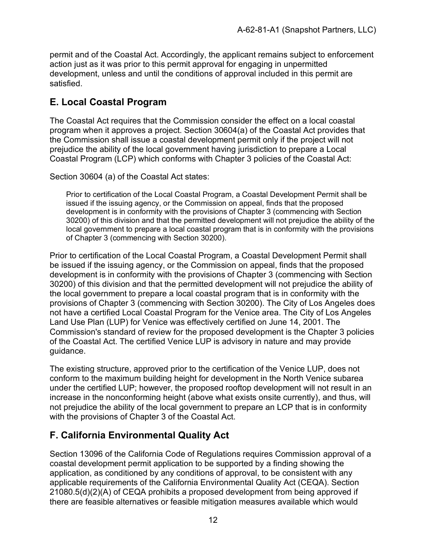permit and of the Coastal Act. Accordingly, the applicant remains subject to enforcement action just as it was prior to this permit approval for engaging in unpermitted development, unless and until the conditions of approval included in this permit are satisfied.

## <span id="page-11-0"></span>**E. Local Coastal Program**

The Coastal Act requires that the Commission consider the effect on a local coastal program when it approves a project. Section 30604(a) of the Coastal Act provides that the Commission shall issue a coastal development permit only if the project will not prejudice the ability of the local government having jurisdiction to prepare a Local Coastal Program (LCP) which conforms with Chapter 3 policies of the Coastal Act:

Section 30604 (a) of the Coastal Act states:

Prior to certification of the Local Coastal Program, a Coastal Development Permit shall be issued if the issuing agency, or the Commission on appeal, finds that the proposed development is in conformity with the provisions of Chapter 3 (commencing with Section 30200) of this division and that the permitted development will not prejudice the ability of the local government to prepare a local coastal program that is in conformity with the provisions of Chapter 3 (commencing with Section 30200).

Prior to certification of the Local Coastal Program, a Coastal Development Permit shall be issued if the issuing agency, or the Commission on appeal, finds that the proposed development is in conformity with the provisions of Chapter 3 (commencing with Section 30200) of this division and that the permitted development will not prejudice the ability of the local government to prepare a local coastal program that is in conformity with the provisions of Chapter 3 (commencing with Section 30200). The City of Los Angeles does not have a certified Local Coastal Program for the Venice area. The City of Los Angeles Land Use Plan (LUP) for Venice was effectively certified on June 14, 2001. The Commission's standard of review for the proposed development is the Chapter 3 policies of the Coastal Act. The certified Venice LUP is advisory in nature and may provide guidance.

The existing structure, approved prior to the certification of the Venice LUP, does not conform to the maximum building height for development in the North Venice subarea under the certified LUP; however, the proposed rooftop development will not result in an increase in the nonconforming height (above what exists onsite currently), and thus, will not prejudice the ability of the local government to prepare an LCP that is in conformity with the provisions of Chapter 3 of the Coastal Act.

## <span id="page-11-1"></span>**F. California Environmental Quality Act**

Section 13096 of the California Code of Regulations requires Commission approval of a coastal development permit application to be supported by a finding showing the application, as conditioned by any conditions of approval, to be consistent with any applicable requirements of the California Environmental Quality Act (CEQA). Section 21080.5(d)(2)(A) of CEQA prohibits a proposed development from being approved if there are feasible alternatives or feasible mitigation measures available which would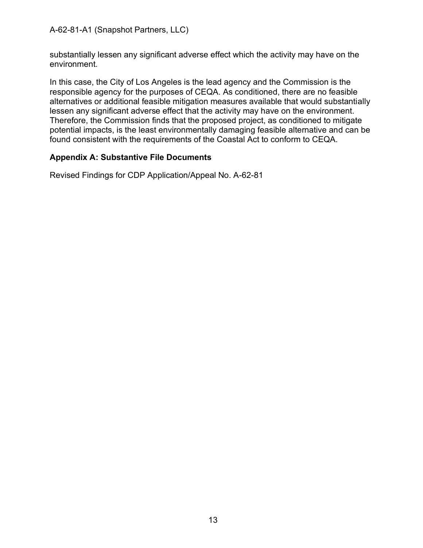A-62-81-A1 (Snapshot Partners, LLC)

substantially lessen any significant adverse effect which the activity may have on the environment.

In this case, the City of Los Angeles is the lead agency and the Commission is the responsible agency for the purposes of CEQA. As conditioned, there are no feasible alternatives or additional feasible mitigation measures available that would substantially lessen any significant adverse effect that the activity may have on the environment. Therefore, the Commission finds that the proposed project, as conditioned to mitigate potential impacts, is the least environmentally damaging feasible alternative and can be found consistent with the requirements of the Coastal Act to conform to CEQA.

#### **Appendix A: Substantive File Documents**

Revised Findings for CDP Application/Appeal No. A-62-81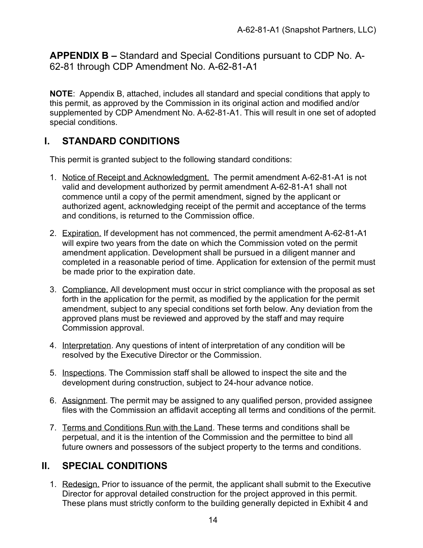**APPENDIX B –** Standard and Special Conditions pursuant to CDP No. A-62-81 through CDP Amendment No. A-62-81-A1

**NOTE**: Appendix B, attached, includes all standard and special conditions that apply to this permit, as approved by the Commission in its original action and modified and/or supplemented by CDP Amendment No. A-62-81-A1. This will result in one set of adopted special conditions.

## **I. STANDARD CONDITIONS**

This permit is granted subject to the following standard conditions:

- 1. Notice of Receipt and Acknowledgment. The permit amendment A-62-81-A1 is not valid and development authorized by permit amendment A-62-81-A1 shall not commence until a copy of the permit amendment, signed by the applicant or authorized agent, acknowledging receipt of the permit and acceptance of the terms and conditions, is returned to the Commission office.
- 2. Expiration. If development has not commenced, the permit amendment A-62-81-A1 will expire two years from the date on which the Commission voted on the permit amendment application. Development shall be pursued in a diligent manner and completed in a reasonable period of time. Application for extension of the permit must be made prior to the expiration date.
- 3. Compliance. All development must occur in strict compliance with the proposal as set forth in the application for the permit, as modified by the application for the permit amendment, subject to any special conditions set forth below. Any deviation from the approved plans must be reviewed and approved by the staff and may require Commission approval.
- 4. Interpretation. Any questions of intent of interpretation of any condition will be resolved by the Executive Director or the Commission.
- 5. Inspections. The Commission staff shall be allowed to inspect the site and the development during construction, subject to 24-hour advance notice.
- 6. Assignment. The permit may be assigned to any qualified person, provided assignee files with the Commission an affidavit accepting all terms and conditions of the permit.
- 7. Terms and Conditions Run with the Land. These terms and conditions shall be perpetual, and it is the intention of the Commission and the permittee to bind all future owners and possessors of the subject property to the terms and conditions.

## **II. SPECIAL CONDITIONS**

1. Redesign. Prior to issuance of the permit, the applicant shall submit to the Executive Director for approval detailed construction for the project approved in this permit. These plans must strictly conform to the building generally depicted in Exhibit 4 and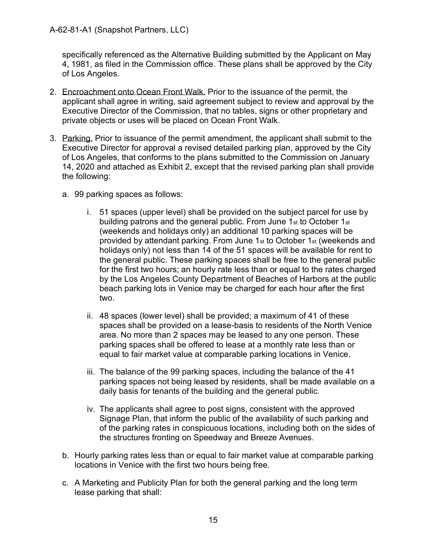specifically referenced as the Alternative Building submitted by the Applicant on May 4, 1981, as filed in the Commission office. These plans shall be approved by the City of Los Angeles.

- 2. Encroachment onto Ocean Front Walk. Prior to the issuance of the permit, the applicant shall agree in writing, said agreement subject to review and approval by the Executive Director of the Commission, that no tables, signs or other proprietary and private objects or uses will be placed on Ocean Front Walk.
- 3. Parking. Prior to issuance of the permit amendment, the applicant shall submit to the Executive Director for approval a revised detailed parking plan, approved by the City of Los Angeles, that conforms to the plans submitted to the Commission on January 14, 2020 and attached as Exhibit 2, except that the revised parking plan shall provide the following:
	- a. 99 parking spaces as follows:
		- i. 51 spaces (upper level) shall be provided on the subject parcel for use by building patrons and the general public. From June 1st to October 1st (weekends and holidays only) an additional 10 parking spaces will be provided by attendant parking. From June 1st to October 1st (weekends and holidays only) not less than 14 of the 51 spaces will be available for rent to the general public. These parking spaces shall be free to the general public for the first two hours; an hourly rate less than or equal to the rates charged by the Los Angeles County Department of Beaches of Harbors at the public beach parking lots in Venice may be charged for each hour after the first two.
		- ii. 48 spaces (lower level) shall be provided; a maximum of 41 of these spaces shall be provided on a lease-basis to residents of the North Venice area. No more than 2 spaces may be leased to any one person. These parking spaces shall be offered to lease at a monthly rate less than or equal to fair market value at comparable parking locations in Venice.
		- iii. The balance of the 99 parking spaces, including the balance of the 41 parking spaces not being leased by residents, shall be made available on a daily basis for tenants of the building and the general public.
		- iv. The applicants shall agree to post signs, consistent with the approved Signage Plan, that inform the public of the availability of such parking and of the parking rates in conspicuous locations, including both on the sides of the structures fronting on Speedway and Breeze Avenues.
	- b. Hourly parking rates less than or equal to fair market value at comparable parking locations in Venice with the first two hours being free.
	- c. A Marketing and Publicity Plan for both the general parking and the long term lease parking that shall: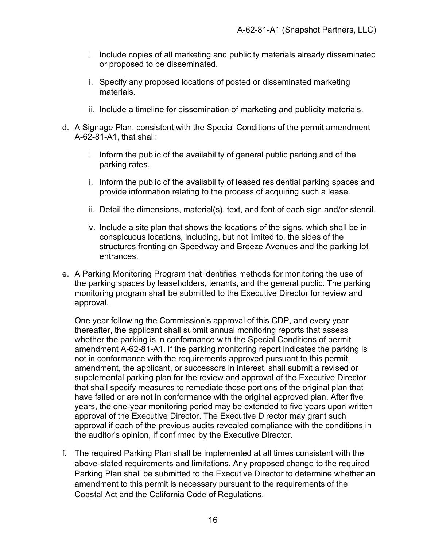- i. Include copies of all marketing and publicity materials already disseminated or proposed to be disseminated.
- ii. Specify any proposed locations of posted or disseminated marketing materials.
- iii. Include a timeline for dissemination of marketing and publicity materials.
- d. A Signage Plan, consistent with the Special Conditions of the permit amendment A-62-81-A1, that shall:
	- i. Inform the public of the availability of general public parking and of the parking rates.
	- ii. Inform the public of the availability of leased residential parking spaces and provide information relating to the process of acquiring such a lease.
	- iii. Detail the dimensions, material(s), text, and font of each sign and/or stencil.
	- iv. Include a site plan that shows the locations of the signs, which shall be in conspicuous locations, including, but not limited to, the sides of the structures fronting on Speedway and Breeze Avenues and the parking lot entrances.
- e. A Parking Monitoring Program that identifies methods for monitoring the use of the parking spaces by leaseholders, tenants, and the general public. The parking monitoring program shall be submitted to the Executive Director for review and approval.

One year following the Commission's approval of this CDP, and every year thereafter, the applicant shall submit annual monitoring reports that assess whether the parking is in conformance with the Special Conditions of permit amendment A-62-81-A1. If the parking monitoring report indicates the parking is not in conformance with the requirements approved pursuant to this permit amendment, the applicant, or successors in interest, shall submit a revised or supplemental parking plan for the review and approval of the Executive Director that shall specify measures to remediate those portions of the original plan that have failed or are not in conformance with the original approved plan. After five years, the one-year monitoring period may be extended to five years upon written approval of the Executive Director. The Executive Director may grant such approval if each of the previous audits revealed compliance with the conditions in the auditor's opinion, if confirmed by the Executive Director.

f. The required Parking Plan shall be implemented at all times consistent with the above-stated requirements and limitations. Any proposed change to the required Parking Plan shall be submitted to the Executive Director to determine whether an amendment to this permit is necessary pursuant to the requirements of the Coastal Act and the California Code of Regulations.